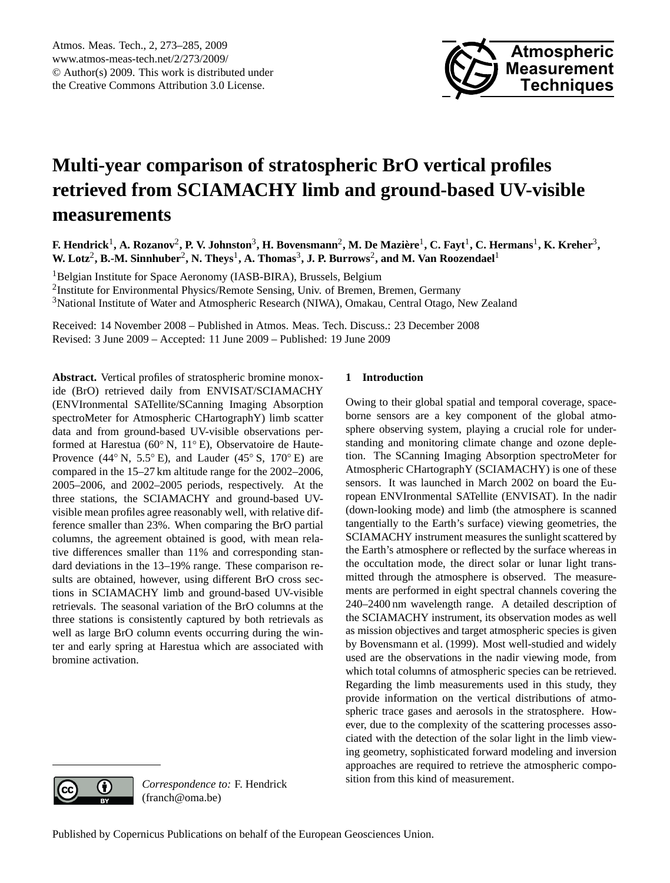

# <span id="page-0-0"></span>**Multi-year comparison of stratospheric BrO vertical profiles retrieved from SCIAMACHY limb and ground-based UV-visible measurements**

 $F$ . Hendrick<sup>1</sup>, A. Rozanov<sup>2</sup>, P. V. Johnston<sup>3</sup>, H. Bovensmann<sup>2</sup>, M. De Mazière<sup>1</sup>, C. Fayt<sup>1</sup>, C. Hermans<sup>1</sup>, K. Kreher<sup>3</sup>, **W. Lotz<sup>2</sup>, B.-M. Sinnhuber<sup>2</sup>, N. Theys<sup>1</sup>, A. Thomas<sup>3</sup>, J. P. Burrows<sup>2</sup>, and M. Van Roozendael<sup>1</sup>** 

<sup>1</sup>Belgian Institute for Space Aeronomy (IASB-BIRA), Brussels, Belgium <sup>2</sup>Institute for Environmental Physics/Remote Sensing, Univ. of Bremen, Bremen, Germany <sup>3</sup>National Institute of Water and Atmospheric Research (NIWA), Omakau, Central Otago, New Zealand

Received: 14 November 2008 – Published in Atmos. Meas. Tech. Discuss.: 23 December 2008 Revised: 3 June 2009 – Accepted: 11 June 2009 – Published: 19 June 2009

**Abstract.** Vertical profiles of stratospheric bromine monoxide (BrO) retrieved daily from ENVISAT/SCIAMACHY (ENVIronmental SATellite/SCanning Imaging Absorption spectroMeter for Atmospheric CHartographY) limb scatter data and from ground-based UV-visible observations performed at Harestua (60◦ N, 11◦ E), Observatoire de Haute-Provence (44 $\degree$  N, 5.5 $\degree$  E), and Lauder (45 $\degree$  S, 170 $\degree$  E) are compared in the 15–27 km altitude range for the 2002–2006, 2005–2006, and 2002–2005 periods, respectively. At the three stations, the SCIAMACHY and ground-based UVvisible mean profiles agree reasonably well, with relative difference smaller than 23%. When comparing the BrO partial columns, the agreement obtained is good, with mean relative differences smaller than 11% and corresponding standard deviations in the 13–19% range. These comparison results are obtained, however, using different BrO cross sections in SCIAMACHY limb and ground-based UV-visible retrievals. The seasonal variation of the BrO columns at the three stations is consistently captured by both retrievals as well as large BrO column events occurring during the winter and early spring at Harestua which are associated with bromine activation.

## **1 Introduction**

Owing to their global spatial and temporal coverage, spaceborne sensors are a key component of the global atmosphere observing system, playing a crucial role for understanding and monitoring climate change and ozone depletion. The SCanning Imaging Absorption spectroMeter for Atmospheric CHartographY (SCIAMACHY) is one of these sensors. It was launched in March 2002 on board the European ENVIronmental SATellite (ENVISAT). In the nadir (down-looking mode) and limb (the atmosphere is scanned tangentially to the Earth's surface) viewing geometries, the SCIAMACHY instrument measures the sunlight scattered by the Earth's atmosphere or reflected by the surface whereas in the occultation mode, the direct solar or lunar light transmitted through the atmosphere is observed. The measurements are performed in eight spectral channels covering the 240–2400 nm wavelength range. A detailed description of the SCIAMACHY instrument, its observation modes as well as mission objectives and target atmospheric species is given by Bovensmann et al. (1999). Most well-studied and widely used are the observations in the nadir viewing mode, from which total columns of atmospheric species can be retrieved. Regarding the limb measurements used in this study, they provide information on the vertical distributions of atmospheric trace gases and aerosols in the stratosphere. However, due to the complexity of the scattering processes associated with the detection of the solar light in the limb viewing geometry, sophisticated forward modeling and inversion approaches are required to retrieve the atmospheric composition from this kind of measurement.



*Correspondence to:* F. Hendrick (franch@oma.be)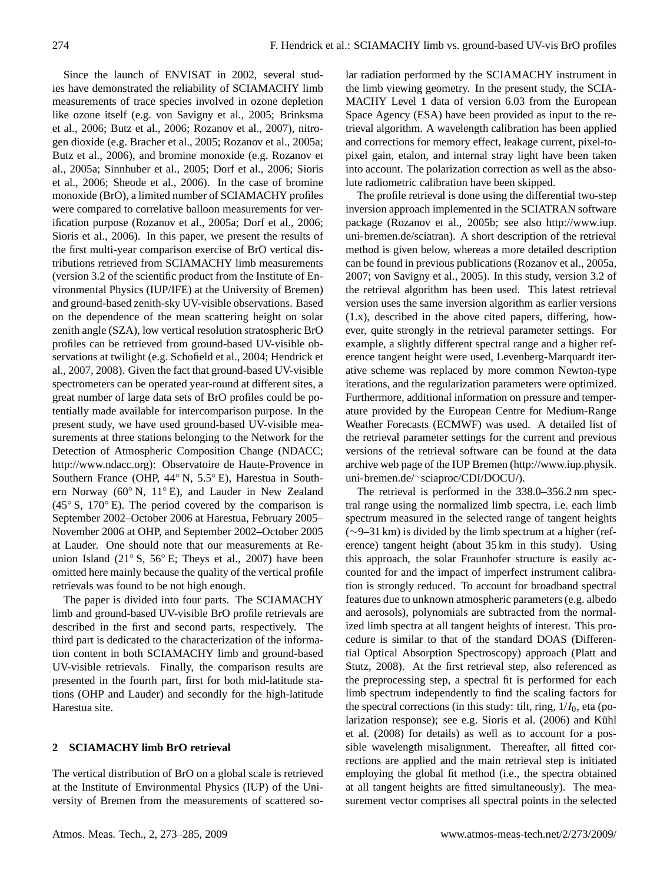Since the launch of ENVISAT in 2002, several studies have demonstrated the reliability of SCIAMACHY limb measurements of trace species involved in ozone depletion like ozone itself (e.g. von Savigny et al., 2005; Brinksma et al., 2006; Butz et al., 2006; Rozanov et al., 2007), nitrogen dioxide (e.g. Bracher et al., 2005; Rozanov et al., 2005a; Butz et al., 2006), and bromine monoxide (e.g. Rozanov et al., 2005a; Sinnhuber et al., 2005; Dorf et al., 2006; Sioris et al., 2006; Sheode et al., 2006). In the case of bromine monoxide (BrO), a limited number of SCIAMACHY profiles were compared to correlative balloon measurements for verification purpose (Rozanov et al., 2005a; Dorf et al., 2006; Sioris et al., 2006). In this paper, we present the results of the first multi-year comparison exercise of BrO vertical distributions retrieved from SCIAMACHY limb measurements (version 3.2 of the scientific product from the Institute of Environmental Physics (IUP/IFE) at the University of Bremen) and ground-based zenith-sky UV-visible observations. Based on the dependence of the mean scattering height on solar zenith angle (SZA), low vertical resolution stratospheric BrO profiles can be retrieved from ground-based UV-visible observations at twilight (e.g. Schofield et al., 2004; Hendrick et al., 2007, 2008). Given the fact that ground-based UV-visible spectrometers can be operated year-round at different sites, a great number of large data sets of BrO profiles could be potentially made available for intercomparison purpose. In the present study, we have used ground-based UV-visible measurements at three stations belonging to the Network for the Detection of Atmospheric Composition Change (NDACC; [http://www.ndacc.org\)](http://www.ndacc.org): Observatoire de Haute-Provence in Southern France (OHP, 44◦ N, 5.5◦ E), Harestua in Southern Norway (60◦ N, 11◦ E), and Lauder in New Zealand  $(45° S, 170° E)$ . The period covered by the comparison is September 2002–October 2006 at Harestua, February 2005– November 2006 at OHP, and September 2002–October 2005 at Lauder. One should note that our measurements at Reunion Island (21◦ S, 56◦ E; Theys et al., 2007) have been omitted here mainly because the quality of the vertical profile retrievals was found to be not high enough.

The paper is divided into four parts. The SCIAMACHY limb and ground-based UV-visible BrO profile retrievals are described in the first and second parts, respectively. The third part is dedicated to the characterization of the information content in both SCIAMACHY limb and ground-based UV-visible retrievals. Finally, the comparison results are presented in the fourth part, first for both mid-latitude stations (OHP and Lauder) and secondly for the high-latitude Harestua site.

## **2 SCIAMACHY limb BrO retrieval**

The vertical distribution of BrO on a global scale is retrieved at the Institute of Environmental Physics (IUP) of the University of Bremen from the measurements of scattered solar radiation performed by the SCIAMACHY instrument in the limb viewing geometry. In the present study, the SCIA-MACHY Level 1 data of version 6.03 from the European Space Agency (ESA) have been provided as input to the retrieval algorithm. A wavelength calibration has been applied and corrections for memory effect, leakage current, pixel-topixel gain, etalon, and internal stray light have been taken into account. The polarization correction as well as the absolute radiometric calibration have been skipped.

The profile retrieval is done using the differential two-step inversion approach implemented in the SCIATRAN software package (Rozanov et al., 2005b; see also [http://www.iup.](http://www.iup.uni-bremen.de/sciatran) [uni-bremen.de/sciatran\)](http://www.iup.uni-bremen.de/sciatran). A short description of the retrieval method is given below, whereas a more detailed description can be found in previous publications (Rozanov et al., 2005a, 2007; von Savigny et al., 2005). In this study, version 3.2 of the retrieval algorithm has been used. This latest retrieval version uses the same inversion algorithm as earlier versions (1.x), described in the above cited papers, differing, however, quite strongly in the retrieval parameter settings. For example, a slightly different spectral range and a higher reference tangent height were used, Levenberg-Marquardt iterative scheme was replaced by more common Newton-type iterations, and the regularization parameters were optimized. Furthermore, additional information on pressure and temperature provided by the European Centre for Medium-Range Weather Forecasts (ECMWF) was used. A detailed list of the retrieval parameter settings for the current and previous versions of the retrieval software can be found at the data archive web page of the IUP Bremen [\(http://www.iup.physik.](http://www.iup.physik.uni-bremen.de/~sciaproc/CDI/DOCU/) uni-bremen.de/∼[sciaproc/CDI/DOCU/\)](http://www.iup.physik.uni-bremen.de/~sciaproc/CDI/DOCU/).

The retrieval is performed in the 338.0–356.2 nm spectral range using the normalized limb spectra, i.e. each limb spectrum measured in the selected range of tangent heights (∼9–31 km) is divided by the limb spectrum at a higher (reference) tangent height (about 35 km in this study). Using this approach, the solar Fraunhofer structure is easily accounted for and the impact of imperfect instrument calibration is strongly reduced. To account for broadband spectral features due to unknown atmospheric parameters (e.g. albedo and aerosols), polynomials are subtracted from the normalized limb spectra at all tangent heights of interest. This procedure is similar to that of the standard DOAS (Differential Optical Absorption Spectroscopy) approach (Platt and Stutz, 2008). At the first retrieval step, also referenced as the preprocessing step, a spectral fit is performed for each limb spectrum independently to find the scaling factors for the spectral corrections (in this study: tilt, ring,  $1/I_0$ , eta (polarization response); see e.g. Sioris et al. (2006) and Kühl et al. (2008) for details) as well as to account for a possible wavelength misalignment. Thereafter, all fitted corrections are applied and the main retrieval step is initiated employing the global fit method (i.e., the spectra obtained at all tangent heights are fitted simultaneously). The measurement vector comprises all spectral points in the selected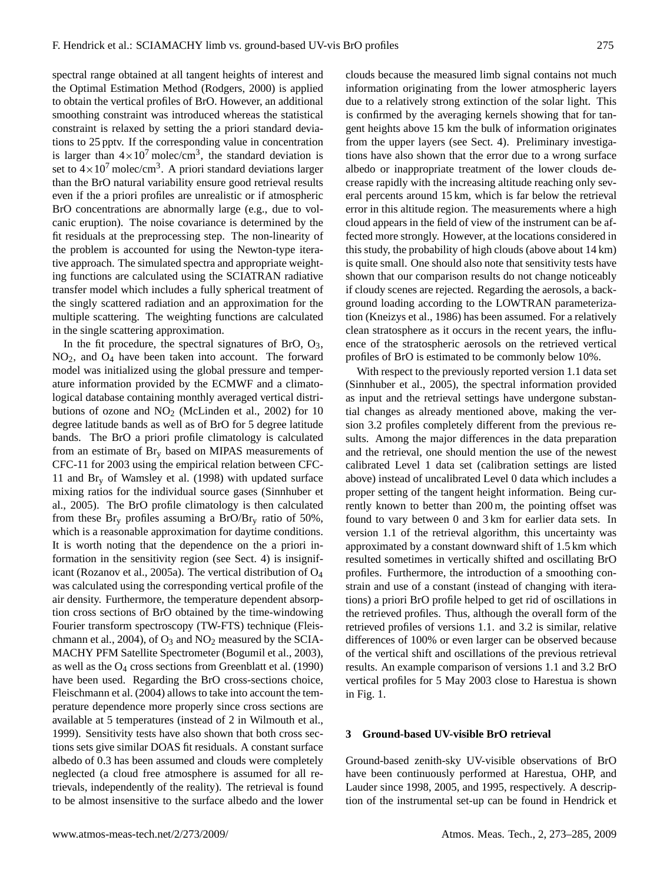spectral range obtained at all tangent heights of interest and the Optimal Estimation Method (Rodgers, 2000) is applied to obtain the vertical profiles of BrO. However, an additional smoothing constraint was introduced whereas the statistical constraint is relaxed by setting the a priori standard deviations to 25 pptv. If the corresponding value in concentration is larger than  $4 \times 10^7$  molec/cm<sup>3</sup>, the standard deviation is set to  $4 \times 10^7$  molec/cm<sup>3</sup>. A priori standard deviations larger than the BrO natural variability ensure good retrieval results even if the a priori profiles are unrealistic or if atmospheric BrO concentrations are abnormally large (e.g., due to volcanic eruption). The noise covariance is determined by the fit residuals at the preprocessing step. The non-linearity of the problem is accounted for using the Newton-type iterative approach. The simulated spectra and appropriate weighting functions are calculated using the SCIATRAN radiative transfer model which includes a fully spherical treatment of the singly scattered radiation and an approximation for the multiple scattering. The weighting functions are calculated in the single scattering approximation.

In the fit procedure, the spectral signatures of BrO,  $O_3$ , NO2, and O<sup>4</sup> have been taken into account. The forward model was initialized using the global pressure and temperature information provided by the ECMWF and a climatological database containing monthly averaged vertical distributions of ozone and  $NO<sub>2</sub>$  (McLinden et al., 2002) for 10 degree latitude bands as well as of BrO for 5 degree latitude bands. The BrO a priori profile climatology is calculated from an estimate of  $\text{Br}_v$  based on MIPAS measurements of CFC-11 for 2003 using the empirical relation between CFC-11 and  $Br<sub>v</sub>$  of Wamsley et al. (1998) with updated surface mixing ratios for the individual source gases (Sinnhuber et al., 2005). The BrO profile climatology is then calculated from these  $Br_y$  profiles assuming a  $BrOBr_y$  ratio of 50%, which is a reasonable approximation for daytime conditions. It is worth noting that the dependence on the a priori information in the sensitivity region (see Sect. 4) is insignificant (Rozanov et al., 2005a). The vertical distribution of O<sup>4</sup> was calculated using the corresponding vertical profile of the air density. Furthermore, the temperature dependent absorption cross sections of BrO obtained by the time-windowing Fourier transform spectroscopy (TW-FTS) technique (Fleischmann et al., 2004), of  $O_3$  and  $NO_2$  measured by the SCIA-MACHY PFM Satellite Spectrometer (Bogumil et al., 2003), as well as the  $O_4$  cross sections from Greenblatt et al. (1990) have been used. Regarding the BrO cross-sections choice, Fleischmann et al. (2004) allows to take into account the temperature dependence more properly since cross sections are available at 5 temperatures (instead of 2 in Wilmouth et al., 1999). Sensitivity tests have also shown that both cross sections sets give similar DOAS fit residuals. A constant surface albedo of 0.3 has been assumed and clouds were completely neglected (a cloud free atmosphere is assumed for all retrievals, independently of the reality). The retrieval is found to be almost insensitive to the surface albedo and the lower clouds because the measured limb signal contains not much information originating from the lower atmospheric layers due to a relatively strong extinction of the solar light. This is confirmed by the averaging kernels showing that for tangent heights above 15 km the bulk of information originates from the upper layers (see Sect. 4). Preliminary investigations have also shown that the error due to a wrong surface albedo or inappropriate treatment of the lower clouds decrease rapidly with the increasing altitude reaching only several percents around 15 km, which is far below the retrieval error in this altitude region. The measurements where a high cloud appears in the field of view of the instrument can be affected more strongly. However, at the locations considered in this study, the probability of high clouds (above about 14 km) is quite small. One should also note that sensitivity tests have shown that our comparison results do not change noticeably if cloudy scenes are rejected. Regarding the aerosols, a background loading according to the LOWTRAN parameterization (Kneizys et al., 1986) has been assumed. For a relatively clean stratosphere as it occurs in the recent years, the influence of the stratospheric aerosols on the retrieved vertical profiles of BrO is estimated to be commonly below 10%.

With respect to the previously reported version 1.1 data set (Sinnhuber et al., 2005), the spectral information provided as input and the retrieval settings have undergone substantial changes as already mentioned above, making the version 3.2 profiles completely different from the previous results. Among the major differences in the data preparation and the retrieval, one should mention the use of the newest calibrated Level 1 data set (calibration settings are listed above) instead of uncalibrated Level 0 data which includes a proper setting of the tangent height information. Being currently known to better than 200 m, the pointing offset was found to vary between 0 and 3 km for earlier data sets. In version 1.1 of the retrieval algorithm, this uncertainty was approximated by a constant downward shift of 1.5 km which resulted sometimes in vertically shifted and oscillating BrO profiles. Furthermore, the introduction of a smoothing constrain and use of a constant (instead of changing with iterations) a priori BrO profile helped to get rid of oscillations in the retrieved profiles. Thus, although the overall form of the retrieved profiles of versions 1.1. and 3.2 is similar, relative differences of 100% or even larger can be observed because of the vertical shift and oscillations of the previous retrieval results. An example comparison of versions 1.1 and 3.2 BrO vertical profiles for 5 May 2003 close to Harestua is shown in Fig. 1.

## **3 Ground-based UV-visible BrO retrieval**

Ground-based zenith-sky UV-visible observations of BrO have been continuously performed at Harestua, OHP, and Lauder since 1998, 2005, and 1995, respectively. A description of the instrumental set-up can be found in Hendrick et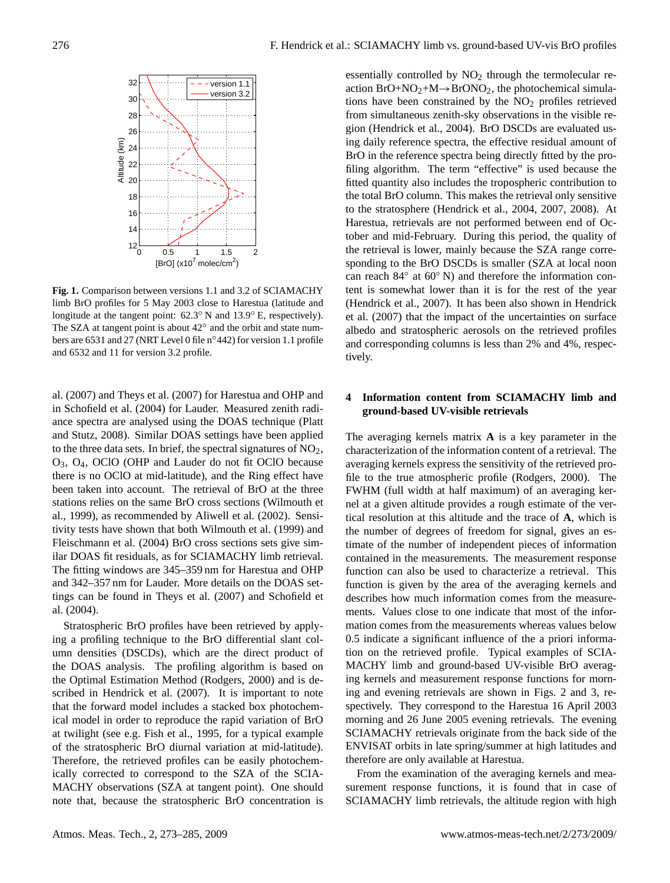

**Fig. 1.** Comparison between versions 1.1 and 3.2 of SCIAMACHY limb BrO profiles for 5 May 2003 close to Harestua (latitude and longitude at the tangent point: 62.3◦ N and 13.9◦ E, respectively). The SZA at tangent point is about 42° and the orbit and state numbers are 6531 and 27 (NRT Level 0 file n◦442) for version 1.1 profile and 6532 and 11 for version 3.2 profile.

al. (2007) and Theys et al. (2007) for Harestua and OHP and in Schofield et al. (2004) for Lauder. Measured zenith radiance spectra are analysed using the DOAS technique (Platt and Stutz, 2008). Similar DOAS settings have been applied to the three data sets. In brief, the spectral signatures of NO2, O3, O4, OClO (OHP and Lauder do not fit OClO because there is no OClO at mid-latitude), and the Ring effect have been taken into account. The retrieval of BrO at the three stations relies on the same BrO cross sections (Wilmouth et al., 1999), as recommended by Aliwell et al. (2002). Sensitivity tests have shown that both Wilmouth et al. (1999) and Fleischmann et al. (2004) BrO cross sections sets give similar DOAS fit residuals, as for SCIAMACHY limb retrieval. The fitting windows are 345–359 nm for Harestua and OHP and 342–357 nm for Lauder. More details on the DOAS settings can be found in Theys et al. (2007) and Schofield et al. (2004).

Stratospheric BrO profiles have been retrieved by applying a profiling technique to the BrO differential slant column densities (DSCDs), which are the direct product of the DOAS analysis. The profiling algorithm is based on the Optimal Estimation Method (Rodgers, 2000) and is described in Hendrick et al. (2007). It is important to note that the forward model includes a stacked box photochemical model in order to reproduce the rapid variation of BrO at twilight (see e.g. Fish et al., 1995, for a typical example of the stratospheric BrO diurnal variation at mid-latitude). Therefore, the retrieved profiles can be easily photochemically corrected to correspond to the SZA of the SCIA-MACHY observations (SZA at tangent point). One should note that, because the stratospheric BrO concentration is essentially controlled by  $NO<sub>2</sub>$  through the termolecular reaction  $BrO+NO_2+M \rightarrow BrONO_2$ , the photochemical simulations have been constrained by the  $NO<sub>2</sub>$  profiles retrieved from simultaneous zenith-sky observations in the visible region (Hendrick et al., 2004). BrO DSCDs are evaluated using daily reference spectra, the effective residual amount of BrO in the reference spectra being directly fitted by the profiling algorithm. The term "effective" is used because the fitted quantity also includes the tropospheric contribution to the total BrO column. This makes the retrieval only sensitive to the stratosphere (Hendrick et al., 2004, 2007, 2008). At Harestua, retrievals are not performed between end of October and mid-February. During this period, the quality of the retrieval is lower, mainly because the SZA range corresponding to the BrO DSCDs is smaller (SZA at local noon can reach 84° at 60° N) and therefore the information content is somewhat lower than it is for the rest of the year (Hendrick et al., 2007). It has been also shown in Hendrick et al. (2007) that the impact of the uncertainties on surface albedo and stratospheric aerosols on the retrieved profiles and corresponding columns is less than 2% and 4%, respectively.

## **4 Information content from SCIAMACHY limb and ground-based UV-visible retrievals**

The averaging kernels matrix **A** is a key parameter in the characterization of the information content of a retrieval. The averaging kernels express the sensitivity of the retrieved profile to the true atmospheric profile (Rodgers, 2000). The FWHM (full width at half maximum) of an averaging kernel at a given altitude provides a rough estimate of the vertical resolution at this altitude and the trace of **A**, which is the number of degrees of freedom for signal, gives an estimate of the number of independent pieces of information contained in the measurements. The measurement response function can also be used to characterize a retrieval. This function is given by the area of the averaging kernels and describes how much information comes from the measurements. Values close to one indicate that most of the information comes from the measurements whereas values below 0.5 indicate a significant influence of the a priori information on the retrieved profile. Typical examples of SCIA-MACHY limb and ground-based UV-visible BrO averaging kernels and measurement response functions for morning and evening retrievals are shown in Figs. 2 and 3, respectively. They correspond to the Harestua 16 April 2003 morning and 26 June 2005 evening retrievals. The evening SCIAMACHY retrievals originate from the back side of the ENVISAT orbits in late spring/summer at high latitudes and therefore are only available at Harestua.

From the examination of the averaging kernels and measurement response functions, it is found that in case of SCIAMACHY limb retrievals, the altitude region with high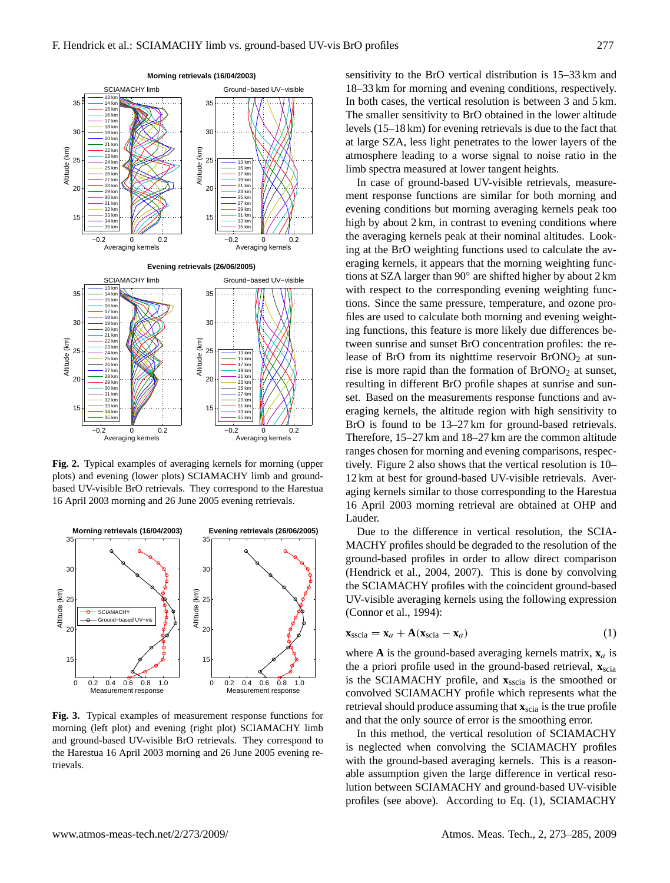

**Fig. 2.** Typical examples of averaging kernels for morning (upper plots) and evening (lower plots) SCIAMACHY limb and groundbased UV-visible BrO retrievals. They correspond to the Harestua 16 April 2003 morning and 26 June 2005 evening retrievals.



**Fig. 3.** Typical examples of measurement response functions for morning (left plot) and evening (right plot) SCIAMACHY limb and ground-based UV-visible BrO retrievals. They correspond to the Harestua 16 April 2003 morning and 26 June 2005 evening retrievals.

sensitivity to the BrO vertical distribution is 15–33 km and 18–33 km for morning and evening conditions, respectively. In both cases, the vertical resolution is between 3 and 5 km. The smaller sensitivity to BrO obtained in the lower altitude levels (15–18 km) for evening retrievals is due to the fact that at large SZA, less light penetrates to the lower layers of the atmosphere leading to a worse signal to noise ratio in the limb spectra measured at lower tangent heights.

In case of ground-based UV-visible retrievals, measurement response functions are similar for both morning and evening conditions but morning averaging kernels peak too high by about 2 km, in contrast to evening conditions where the averaging kernels peak at their nominal altitudes. Looking at the BrO weighting functions used to calculate the averaging kernels, it appears that the morning weighting functions at SZA larger than 90◦ are shifted higher by about 2 km with respect to the corresponding evening weighting functions. Since the same pressure, temperature, and ozone profiles are used to calculate both morning and evening weighting functions, this feature is more likely due differences between sunrise and sunset BrO concentration profiles: the release of BrO from its nighttime reservoir  $BrONO<sub>2</sub>$  at sunrise is more rapid than the formation of  $BrONO<sub>2</sub>$  at sunset, resulting in different BrO profile shapes at sunrise and sunset. Based on the measurements response functions and averaging kernels, the altitude region with high sensitivity to BrO is found to be 13–27 km for ground-based retrievals. Therefore, 15–27 km and 18–27 km are the common altitude ranges chosen for morning and evening comparisons, respectively. Figure 2 also shows that the vertical resolution is 10– 12 km at best for ground-based UV-visible retrievals. Averaging kernels similar to those corresponding to the Harestua 16 April 2003 morning retrieval are obtained at OHP and Lauder.

Due to the difference in vertical resolution, the SCIA-MACHY profiles should be degraded to the resolution of the ground-based profiles in order to allow direct comparison (Hendrick et al., 2004, 2007). This is done by convolving the SCIAMACHY profiles with the coincident ground-based UV-visible averaging kernels using the following expression (Connor et al., 1994):

$$
\mathbf{x}_{\text{sscia}} = \mathbf{x}_a + \mathbf{A}(\mathbf{x}_{\text{scia}} - \mathbf{x}_a) \tag{1}
$$

where **A** is the ground-based averaging kernels matrix,  $\mathbf{x}_a$  is the a priori profile used in the ground-based retrieval,  $\mathbf{x}_{\text{scia}}$ is the SCIAMACHY profile, and  $\mathbf{x}_{sscia}$  is the smoothed or convolved SCIAMACHY profile which represents what the retrieval should produce assuming that **x**scia is the true profile and that the only source of error is the smoothing error.

In this method, the vertical resolution of SCIAMACHY is neglected when convolving the SCIAMACHY profiles with the ground-based averaging kernels. This is a reasonable assumption given the large difference in vertical resolution between SCIAMACHY and ground-based UV-visible profiles (see above). According to Eq. (1), SCIAMACHY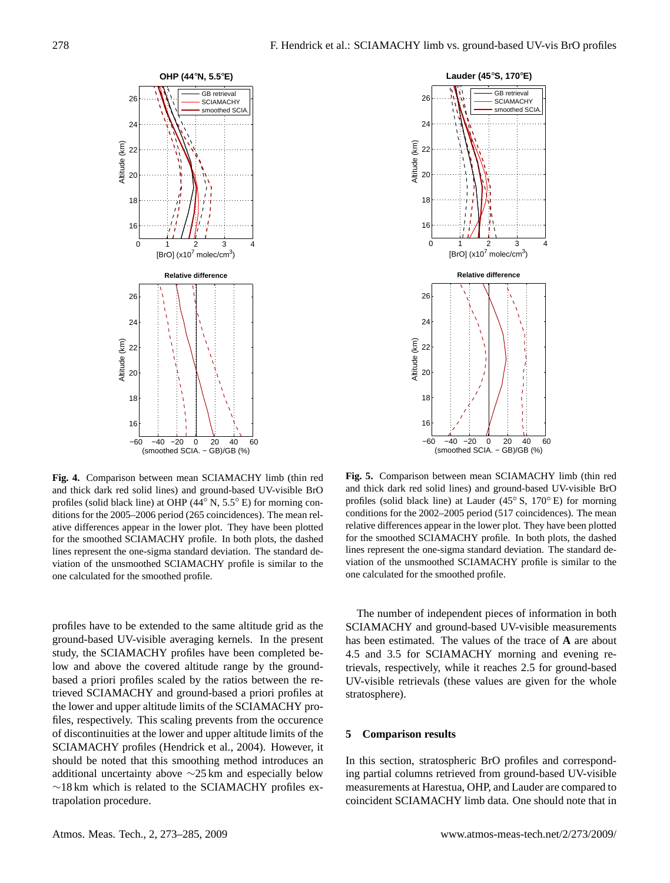



**Fig. 4.** Comparison between mean SCIAMACHY limb (thin red and thick dark red solid lines) and ground-based UV-visible BrO profiles (solid black line) at OHP (44◦ N, 5.5◦ E) for morning conditions for the 2005–2006 period (265 coincidences). The mean relative differences appear in the lower plot. They have been plotted for the smoothed SCIAMACHY profile. In both plots, the dashed lines represent the one-sigma standard deviation. The standard deviation of the unsmoothed SCIAMACHY profile is similar to the one calculated for the smoothed profile.

profiles have to be extended to the same altitude grid as the ground-based UV-visible averaging kernels. In the present study, the SCIAMACHY profiles have been completed below and above the covered altitude range by the groundbased a priori profiles scaled by the ratios between the retrieved SCIAMACHY and ground-based a priori profiles at the lower and upper altitude limits of the SCIAMACHY profiles, respectively. This scaling prevents from the occurence of discontinuities at the lower and upper altitude limits of the SCIAMACHY profiles (Hendrick et al., 2004). However, it should be noted that this smoothing method introduces an additional uncertainty above ∼25 km and especially below ∼18 km which is related to the SCIAMACHY profiles extrapolation procedure.

**Fig. 5.** Comparison between mean SCIAMACHY limb (thin red and thick dark red solid lines) and ground-based UV-visible BrO profiles (solid black line) at Lauder (45◦ S, 170◦ E) for morning conditions for the 2002–2005 period (517 coincidences). The mean relative differences appear in the lower plot. They have been plotted for the smoothed SCIAMACHY profile. In both plots, the dashed lines represent the one-sigma standard deviation. The standard deviation of the unsmoothed SCIAMACHY profile is similar to the one calculated for the smoothed profile.

The number of independent pieces of information in both SCIAMACHY and ground-based UV-visible measurements has been estimated. The values of the trace of **A** are about 4.5 and 3.5 for SCIAMACHY morning and evening retrievals, respectively, while it reaches 2.5 for ground-based UV-visible retrievals (these values are given for the whole stratosphere).

#### **5 Comparison results**

In this section, stratospheric BrO profiles and corresponding partial columns retrieved from ground-based UV-visible measurements at Harestua, OHP, and Lauder are compared to coincident SCIAMACHY limb data. One should note that in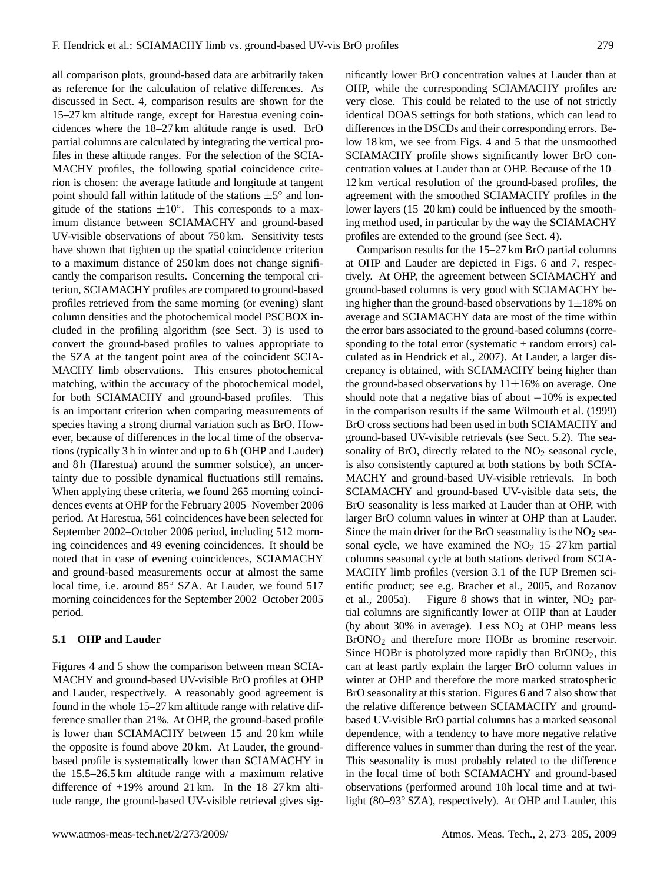all comparison plots, ground-based data are arbitrarily taken as reference for the calculation of relative differences. As discussed in Sect. 4, comparison results are shown for the 15–27 km altitude range, except for Harestua evening coincidences where the 18–27 km altitude range is used. BrO partial columns are calculated by integrating the vertical profiles in these altitude ranges. For the selection of the SCIA-MACHY profiles, the following spatial coincidence criterion is chosen: the average latitude and longitude at tangent point should fall within latitude of the stations  $\pm 5^{\circ}$  and longitude of the stations  $\pm 10^\circ$ . This corresponds to a maximum distance between SCIAMACHY and ground-based UV-visible observations of about 750 km. Sensitivity tests have shown that tighten up the spatial coincidence criterion to a maximum distance of 250 km does not change significantly the comparison results. Concerning the temporal criterion, SCIAMACHY profiles are compared to ground-based profiles retrieved from the same morning (or evening) slant column densities and the photochemical model PSCBOX included in the profiling algorithm (see Sect. 3) is used to convert the ground-based profiles to values appropriate to the SZA at the tangent point area of the coincident SCIA-MACHY limb observations. This ensures photochemical matching, within the accuracy of the photochemical model, for both SCIAMACHY and ground-based profiles. This is an important criterion when comparing measurements of species having a strong diurnal variation such as BrO. However, because of differences in the local time of the observations (typically 3 h in winter and up to 6 h (OHP and Lauder) and 8h (Harestua) around the summer solstice), an uncertainty due to possible dynamical fluctuations still remains. When applying these criteria, we found 265 morning coincidences events at OHP for the February 2005–November 2006 period. At Harestua, 561 coincidences have been selected for September 2002–October 2006 period, including 512 morning coincidences and 49 evening coincidences. It should be noted that in case of evening coincidences, SCIAMACHY and ground-based measurements occur at almost the same local time, i.e. around 85◦ SZA. At Lauder, we found 517 morning coincidences for the September 2002–October 2005 period.

## **5.1 OHP and Lauder**

Figures 4 and 5 show the comparison between mean SCIA-MACHY and ground-based UV-visible BrO profiles at OHP and Lauder, respectively. A reasonably good agreement is found in the whole 15–27 km altitude range with relative difference smaller than 21%. At OHP, the ground-based profile is lower than SCIAMACHY between 15 and 20 km while the opposite is found above 20 km. At Lauder, the groundbased profile is systematically lower than SCIAMACHY in the 15.5–26.5 km altitude range with a maximum relative difference of +19% around 21 km. In the 18–27 km altitude range, the ground-based UV-visible retrieval gives significantly lower BrO concentration values at Lauder than at OHP, while the corresponding SCIAMACHY profiles are very close. This could be related to the use of not strictly identical DOAS settings for both stations, which can lead to differences in the DSCDs and their corresponding errors. Below 18 km, we see from Figs. 4 and 5 that the unsmoothed SCIAMACHY profile shows significantly lower BrO concentration values at Lauder than at OHP. Because of the 10– 12 km vertical resolution of the ground-based profiles, the agreement with the smoothed SCIAMACHY profiles in the lower layers (15–20 km) could be influenced by the smoothing method used, in particular by the way the SCIAMACHY profiles are extended to the ground (see Sect. 4).

Comparison results for the 15–27 km BrO partial columns at OHP and Lauder are depicted in Figs. 6 and 7, respectively. At OHP, the agreement between SCIAMACHY and ground-based columns is very good with SCIAMACHY being higher than the ground-based observations by  $1\pm18\%$  on average and SCIAMACHY data are most of the time within the error bars associated to the ground-based columns (corresponding to the total error (systematic  $+$  random errors) calculated as in Hendrick et al., 2007). At Lauder, a larger discrepancy is obtained, with SCIAMACHY being higher than the ground-based observations by  $11\pm16\%$  on average. One should note that a negative bias of about  $-10\%$  is expected in the comparison results if the same Wilmouth et al. (1999) BrO cross sections had been used in both SCIAMACHY and ground-based UV-visible retrievals (see Sect. 5.2). The seasonality of BrO, directly related to the  $NO<sub>2</sub>$  seasonal cycle, is also consistently captured at both stations by both SCIA-MACHY and ground-based UV-visible retrievals. In both SCIAMACHY and ground-based UV-visible data sets, the BrO seasonality is less marked at Lauder than at OHP, with larger BrO column values in winter at OHP than at Lauder. Since the main driver for the BrO seasonality is the  $NO<sub>2</sub>$  seasonal cycle, we have examined the  $NO<sub>2</sub>$  15–27 km partial columns seasonal cycle at both stations derived from SCIA-MACHY limb profiles (version 3.1 of the IUP Bremen scientific product; see e.g. Bracher et al., 2005, and Rozanov et al., 2005a). Figure 8 shows that in winter,  $NO<sub>2</sub>$  partial columns are significantly lower at OHP than at Lauder (by about 30% in average). Less  $NO<sub>2</sub>$  at OHP means less BrONO<sup>2</sup> and therefore more HOBr as bromine reservoir. Since HOBr is photolyzed more rapidly than  $BrONO<sub>2</sub>$ , this can at least partly explain the larger BrO column values in winter at OHP and therefore the more marked stratospheric BrO seasonality at this station. Figures 6 and 7 also show that the relative difference between SCIAMACHY and groundbased UV-visible BrO partial columns has a marked seasonal dependence, with a tendency to have more negative relative difference values in summer than during the rest of the year. This seasonality is most probably related to the difference in the local time of both SCIAMACHY and ground-based observations (performed around 10h local time and at twilight (80–93◦ SZA), respectively). At OHP and Lauder, this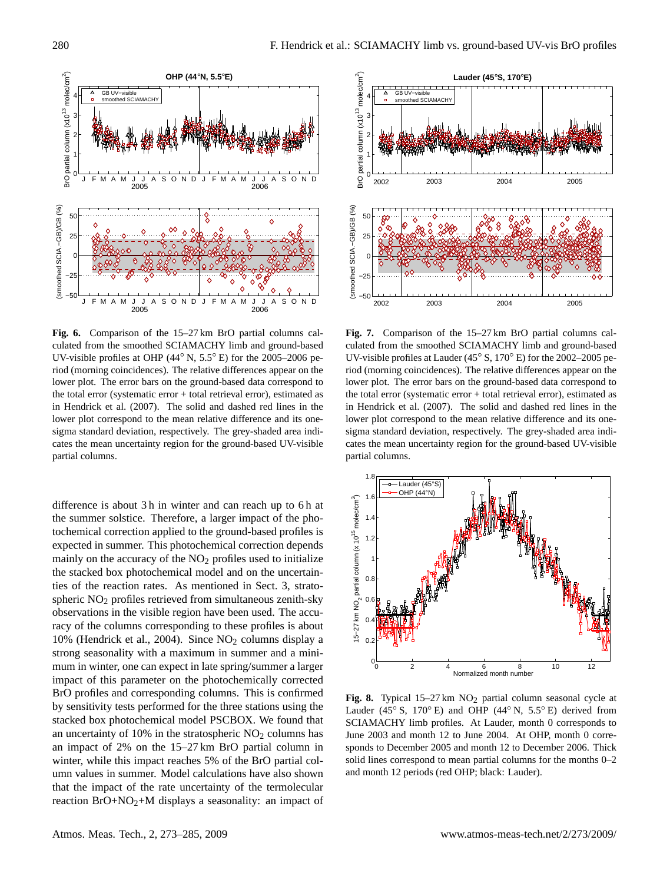

**Fig. 6.** Comparison of the 15–27 km BrO partial columns calculated from the smoothed SCIAMACHY limb and ground-based UV-visible profiles at OHP (44◦ N, 5.5◦ E) for the 2005–2006 period (morning coincidences). The relative differences appear on the lower plot. The error bars on the ground-based data correspond to the total error (systematic error + total retrieval error), estimated as in Hendrick et al. (2007). The solid and dashed red lines in the lower plot correspond to the mean relative difference and its onesigma standard deviation, respectively. The grey-shaded area indicates the mean uncertainty region for the ground-based UV-visible partial columns.

difference is about 3h in winter and can reach up to 6h at the summer solstice. Therefore, a larger impact of the photochemical correction applied to the ground-based profiles is expected in summer. This photochemical correction depends mainly on the accuracy of the  $NO<sub>2</sub>$  profiles used to initialize the stacked box photochemical model and on the uncertainties of the reaction rates. As mentioned in Sect. 3, stratospheric NO<sub>2</sub> profiles retrieved from simultaneous zenith-sky observations in the visible region have been used. The accuracy of the columns corresponding to these profiles is about 10% (Hendrick et al., 2004). Since NO<sup>2</sup> columns display a strong seasonality with a maximum in summer and a minimum in winter, one can expect in late spring/summer a larger impact of this parameter on the photochemically corrected BrO profiles and corresponding columns. This is confirmed by sensitivity tests performed for the three stations using the stacked box photochemical model PSCBOX. We found that an uncertainty of  $10\%$  in the stratospheric  $NO<sub>2</sub>$  columns has an impact of 2% on the 15–27 km BrO partial column in winter, while this impact reaches 5% of the BrO partial column values in summer. Model calculations have also shown that the impact of the rate uncertainty of the termolecular reaction BrO+NO2+M displays a seasonality: an impact of



**Fig. 7.** Comparison of the 15–27 km BrO partial columns calculated from the smoothed SCIAMACHY limb and ground-based UV-visible profiles at Lauder (45◦ S, 170◦ E) for the 2002–2005 period (morning coincidences). The relative differences appear on the lower plot. The error bars on the ground-based data correspond to the total error (systematic error + total retrieval error), estimated as in Hendrick et al. (2007). The solid and dashed red lines in the lower plot correspond to the mean relative difference and its onesigma standard deviation, respectively. The grey-shaded area indicates the mean uncertainty region for the ground-based UV-visible partial columns.



Fig. 8. Typical 15-27 km NO<sub>2</sub> partial column seasonal cycle at Lauder (45° S, 170° E) and OHP (44° N, 5.5° E) derived from SCIAMACHY limb profiles. At Lauder, month 0 corresponds to June 2003 and month 12 to June 2004. At OHP, month 0 corresponds to December 2005 and month 12 to December 2006. Thick solid lines correspond to mean partial columns for the months 0–2 and month 12 periods (red OHP; black: Lauder).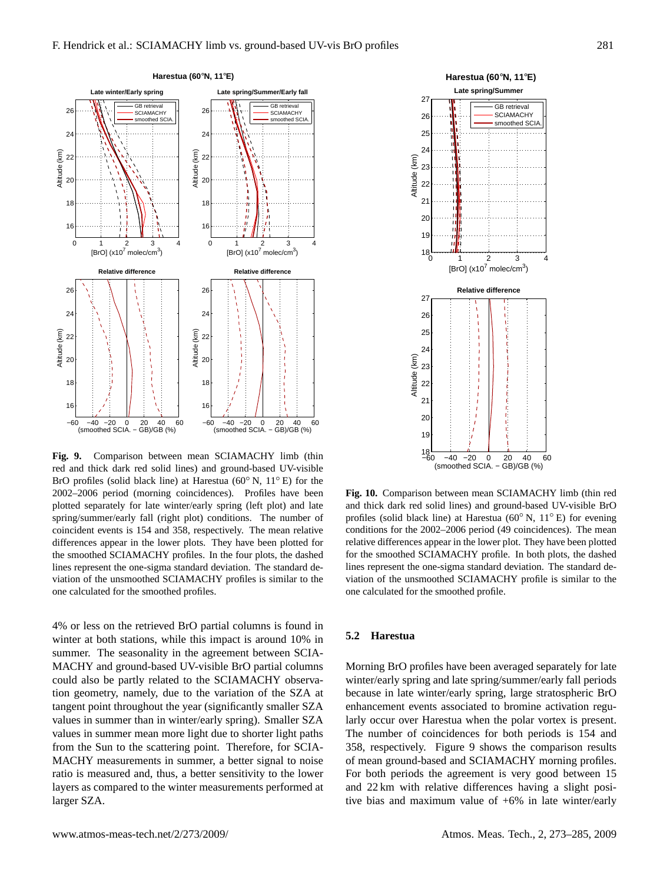

**Fig. 9.** Comparison between mean SCIAMACHY limb (thin red and thick dark red solid lines) and ground-based UV-visible BrO profiles (solid black line) at Harestua (60◦ N, 11◦ E) for the 2002–2006 period (morning coincidences). Profiles have been plotted separately for late winter/early spring (left plot) and late spring/summer/early fall (right plot) conditions. The number of coincident events is 154 and 358, respectively. The mean relative differences appear in the lower plots. They have been plotted for the smoothed SCIAMACHY profiles. In the four plots, the dashed lines represent the one-sigma standard deviation. The standard deviation of the unsmoothed SCIAMACHY profiles is similar to the one calculated for the smoothed profiles.

4% or less on the retrieved BrO partial columns is found in winter at both stations, while this impact is around 10% in summer. The seasonality in the agreement between SCIA-MACHY and ground-based UV-visible BrO partial columns could also be partly related to the SCIAMACHY observation geometry, namely, due to the variation of the SZA at tangent point throughout the year (significantly smaller SZA values in summer than in winter/early spring). Smaller SZA values in summer mean more light due to shorter light paths from the Sun to the scattering point. Therefore, for SCIA-MACHY measurements in summer, a better signal to noise ratio is measured and, thus, a better sensitivity to the lower layers as compared to the winter measurements performed at larger SZA.



**Fig. 10.** Comparison between mean SCIAMACHY limb (thin red and thick dark red solid lines) and ground-based UV-visible BrO profiles (solid black line) at Harestua ( $60°$  N,  $11°$  E) for evening conditions for the 2002–2006 period (49 coincidences). The mean relative differences appear in the lower plot. They have been plotted for the smoothed SCIAMACHY profile. In both plots, the dashed lines represent the one-sigma standard deviation. The standard deviation of the unsmoothed SCIAMACHY profile is similar to the one calculated for the smoothed profile.

## **5.2 Harestua**

Morning BrO profiles have been averaged separately for late winter/early spring and late spring/summer/early fall periods because in late winter/early spring, large stratospheric BrO enhancement events associated to bromine activation regularly occur over Harestua when the polar vortex is present. The number of coincidences for both periods is 154 and 358, respectively. Figure 9 shows the comparison results of mean ground-based and SCIAMACHY morning profiles. For both periods the agreement is very good between 15 and 22 km with relative differences having a slight positive bias and maximum value of +6% in late winter/early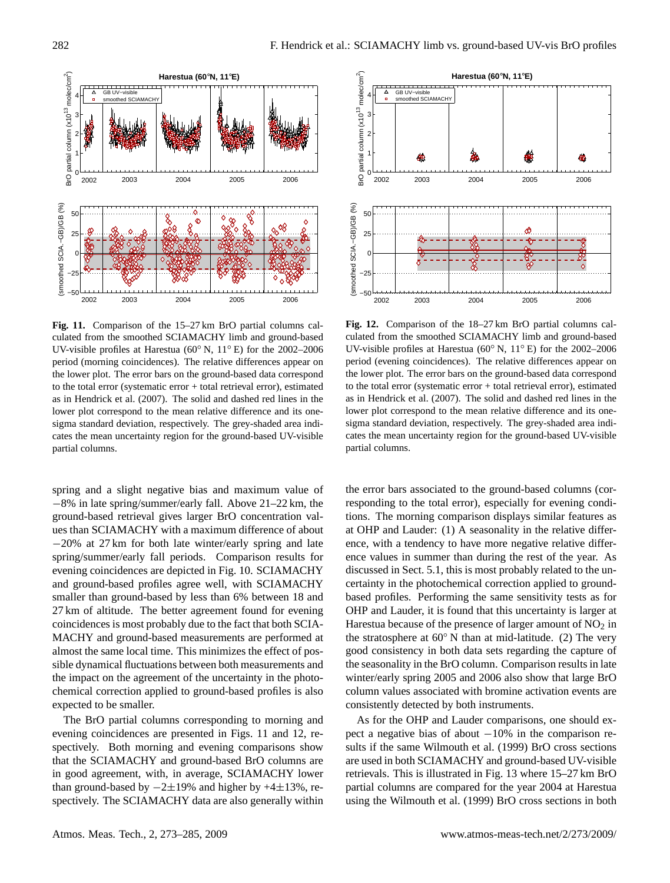

**Fig. 11.** Comparison of the 15–27 km BrO partial columns calculated from the smoothed SCIAMACHY limb and ground-based UV-visible profiles at Harestua (60◦ N, 11◦ E) for the 2002–2006 period (morning coincidences). The relative differences appear on the lower plot. The error bars on the ground-based data correspond to the total error (systematic error + total retrieval error), estimated as in Hendrick et al. (2007). The solid and dashed red lines in the lower plot correspond to the mean relative difference and its onesigma standard deviation, respectively. The grey-shaded area indicates the mean uncertainty region for the ground-based UV-visible partial columns.

spring and a slight negative bias and maximum value of −8% in late spring/summer/early fall. Above 21–22 km, the ground-based retrieval gives larger BrO concentration values than SCIAMACHY with a maximum difference of about −20% at 27 km for both late winter/early spring and late spring/summer/early fall periods. Comparison results for evening coincidences are depicted in Fig. 10. SCIAMACHY and ground-based profiles agree well, with SCIAMACHY smaller than ground-based by less than 6% between 18 and 27 km of altitude. The better agreement found for evening coincidences is most probably due to the fact that both SCIA-MACHY and ground-based measurements are performed at almost the same local time. This minimizes the effect of possible dynamical fluctuations between both measurements and the impact on the agreement of the uncertainty in the photochemical correction applied to ground-based profiles is also expected to be smaller.

The BrO partial columns corresponding to morning and evening coincidences are presented in Figs. 11 and 12, respectively. Both morning and evening comparisons show that the SCIAMACHY and ground-based BrO columns are in good agreement, with, in average, SCIAMACHY lower than ground-based by  $-2\pm19\%$  and higher by  $+4\pm13\%$ , respectively. The SCIAMACHY data are also generally within



**Fig. 12.** Comparison of the 18–27 km BrO partial columns calculated from the smoothed SCIAMACHY limb and ground-based UV-visible profiles at Harestua (60◦ N, 11◦ E) for the 2002–2006 period (evening coincidences). The relative differences appear on the lower plot. The error bars on the ground-based data correspond to the total error (systematic error + total retrieval error), estimated as in Hendrick et al. (2007). The solid and dashed red lines in the lower plot correspond to the mean relative difference and its onesigma standard deviation, respectively. The grey-shaded area indicates the mean uncertainty region for the ground-based UV-visible partial columns.

the error bars associated to the ground-based columns (corresponding to the total error), especially for evening conditions. The morning comparison displays similar features as at OHP and Lauder: (1) A seasonality in the relative difference, with a tendency to have more negative relative difference values in summer than during the rest of the year. As discussed in Sect. 5.1, this is most probably related to the uncertainty in the photochemical correction applied to groundbased profiles. Performing the same sensitivity tests as for OHP and Lauder, it is found that this uncertainty is larger at Harestua because of the presence of larger amount of  $NO<sub>2</sub>$  in the stratosphere at  $60°$  N than at mid-latitude. (2) The very good consistency in both data sets regarding the capture of the seasonality in the BrO column. Comparison results in late winter/early spring 2005 and 2006 also show that large BrO column values associated with bromine activation events are consistently detected by both instruments.

As for the OHP and Lauder comparisons, one should expect a negative bias of about −10% in the comparison results if the same Wilmouth et al. (1999) BrO cross sections are used in both SCIAMACHY and ground-based UV-visible retrievals. This is illustrated in Fig. 13 where 15–27 km BrO partial columns are compared for the year 2004 at Harestua using the Wilmouth et al. (1999) BrO cross sections in both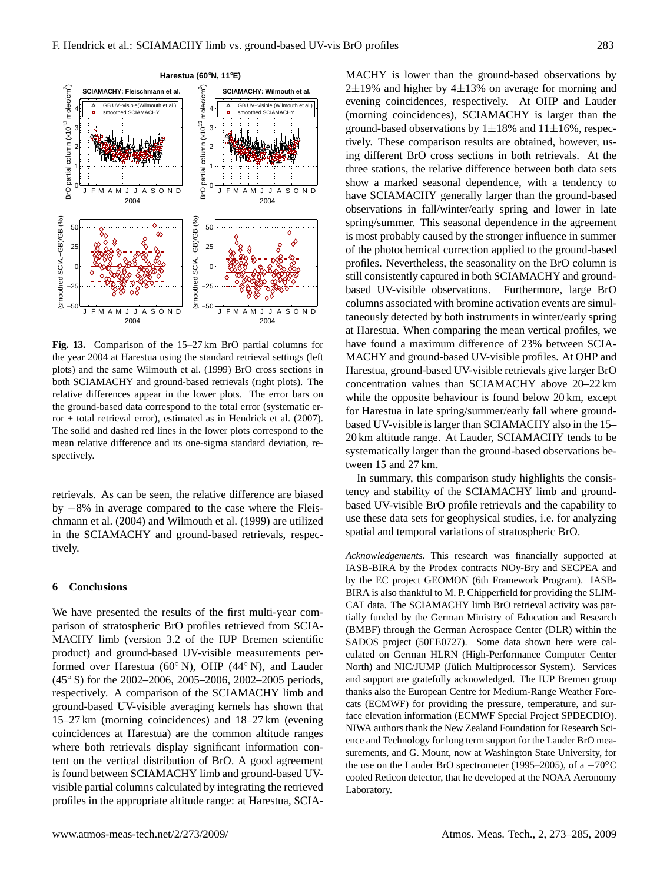

**Fig. 13.** Comparison of the 15–27 km BrO partial columns for the year 2004 at Harestua using the standard retrieval settings (left plots) and the same Wilmouth et al. (1999) BrO cross sections in both SCIAMACHY and ground-based retrievals (right plots). The relative differences appear in the lower plots. The error bars on the ground-based data correspond to the total error (systematic error + total retrieval error), estimated as in Hendrick et al. (2007). The solid and dashed red lines in the lower plots correspond to the mean relative difference and its one-sigma standard deviation, respectively.

retrievals. As can be seen, the relative difference are biased by −8% in average compared to the case where the Fleischmann et al. (2004) and Wilmouth et al. (1999) are utilized in the SCIAMACHY and ground-based retrievals, respectively.

#### **6 Conclusions**

We have presented the results of the first multi-year comparison of stratospheric BrO profiles retrieved from SCIA-MACHY limb (version 3.2 of the IUP Bremen scientific product) and ground-based UV-visible measurements performed over Harestua (60◦ N), OHP (44◦ N), and Lauder (45◦ S) for the 2002–2006, 2005–2006, 2002–2005 periods, respectively. A comparison of the SCIAMACHY limb and ground-based UV-visible averaging kernels has shown that 15–27 km (morning coincidences) and 18–27 km (evening coincidences at Harestua) are the common altitude ranges where both retrievals display significant information content on the vertical distribution of BrO. A good agreement is found between SCIAMACHY limb and ground-based UVvisible partial columns calculated by integrating the retrieved profiles in the appropriate altitude range: at Harestua, SCIA- MACHY is lower than the ground-based observations by  $2\pm19$ % and higher by  $4\pm13$ % on average for morning and evening coincidences, respectively. At OHP and Lauder (morning coincidences), SCIAMACHY is larger than the ground-based observations by  $1\pm18\%$  and  $11\pm16\%$ , respectively. These comparison results are obtained, however, using different BrO cross sections in both retrievals. At the three stations, the relative difference between both data sets show a marked seasonal dependence, with a tendency to have SCIAMACHY generally larger than the ground-based observations in fall/winter/early spring and lower in late spring/summer. This seasonal dependence in the agreement is most probably caused by the stronger influence in summer of the photochemical correction applied to the ground-based profiles. Nevertheless, the seasonality on the BrO column is still consistently captured in both SCIAMACHY and groundbased UV-visible observations. Furthermore, large BrO columns associated with bromine activation events are simultaneously detected by both instruments in winter/early spring at Harestua. When comparing the mean vertical profiles, we have found a maximum difference of 23% between SCIA-MACHY and ground-based UV-visible profiles. At OHP and Harestua, ground-based UV-visible retrievals give larger BrO concentration values than SCIAMACHY above 20–22 km while the opposite behaviour is found below 20 km, except for Harestua in late spring/summer/early fall where groundbased UV-visible is larger than SCIAMACHY also in the 15– 20 km altitude range. At Lauder, SCIAMACHY tends to be systematically larger than the ground-based observations between 15 and 27 km.

In summary, this comparison study highlights the consistency and stability of the SCIAMACHY limb and groundbased UV-visible BrO profile retrievals and the capability to use these data sets for geophysical studies, i.e. for analyzing spatial and temporal variations of stratospheric BrO.

*Acknowledgements.* This research was financially supported at IASB-BIRA by the Prodex contracts NOy-Bry and SECPEA and by the EC project GEOMON (6th Framework Program). IASB-BIRA is also thankful to M. P. Chipperfield for providing the SLIM-CAT data. The SCIAMACHY limb BrO retrieval activity was partially funded by the German Ministry of Education and Research (BMBF) through the German Aerospace Center (DLR) within the SADOS project (50EE0727). Some data shown here were calculated on German HLRN (High-Performance Computer Center North) and NIC/JUMP (Jülich Multiprocessor System). Services and support are gratefully acknowledged. The IUP Bremen group thanks also the European Centre for Medium-Range Weather Forecats (ECMWF) for providing the pressure, temperature, and surface elevation information (ECMWF Special Project SPDECDIO). NIWA authors thank the New Zealand Foundation for Research Science and Technology for long term support for the Lauder BrO measurements, and G. Mount, now at Washington State University, for the use on the Lauder BrO spectrometer (1995–2005), of a  $-70^{\circ}$ C cooled Reticon detector, that he developed at the NOAA Aeronomy Laboratory.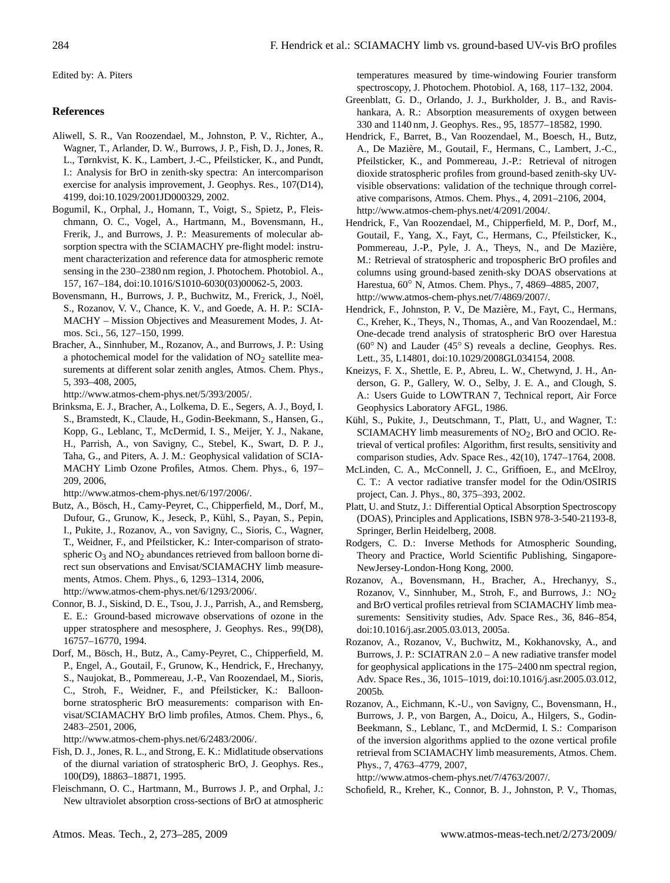Edited by: A. Piters

## **References**

- Aliwell, S. R., Van Roozendael, M., Johnston, P. V., Richter, A., Wagner, T., Arlander, D. W., Burrows, J. P., Fish, D. J., Jones, R. L., Tørnkvist, K. K., Lambert, J.-C., Pfeilsticker, K., and Pundt, I.: Analysis for BrO in zenith-sky spectra: An intercomparison exercise for analysis improvement, J. Geophys. Res., 107(D14), 4199, doi:10.1029/2001JD000329, 2002.
- Bogumil, K., Orphal, J., Homann, T., Voigt, S., Spietz, P., Fleischmann, O. C., Vogel, A., Hartmann, M., Bovensmann, H., Frerik, J., and Burrows, J. P.: Measurements of molecular absorption spectra with the SCIAMACHY pre-flight model: instrument characterization and reference data for atmospheric remote sensing in the 230–2380 nm region, J. Photochem. Photobiol. A., 157, 167–184, doi:10.1016/S1010-6030(03)00062-5, 2003.
- Bovensmann, H., Burrows, J. P., Buchwitz, M., Frerick, J., Noël, S., Rozanov, V. V., Chance, K. V., and Goede, A. H. P.: SCIA-MACHY – Mission Objectives and Measurement Modes, J. Atmos. Sci., 56, 127–150, 1999.
- Bracher, A., Sinnhuber, M., Rozanov, A., and Burrows, J. P.: Using a photochemical model for the validation of  $NO<sub>2</sub>$  satellite measurements at different solar zenith angles, Atmos. Chem. Phys., 5, 393–408, 2005,

[http://www.atmos-chem-phys.net/5/393/2005/.](http://www.atmos-chem-phys.net/5/393/2005/)

Brinksma, E. J., Bracher, A., Lolkema, D. E., Segers, A. J., Boyd, I. S., Bramstedt, K., Claude, H., Godin-Beekmann, S., Hansen, G., Kopp, G., Leblanc, T., McDermid, I. S., Meijer, Y. J., Nakane, H., Parrish, A., von Savigny, C., Stebel, K., Swart, D. P. J., Taha, G., and Piters, A. J. M.: Geophysical validation of SCIA-MACHY Limb Ozone Profiles, Atmos. Chem. Phys., 6, 197– 209, 2006,

[http://www.atmos-chem-phys.net/6/197/2006/.](http://www.atmos-chem-phys.net/6/197/2006/)

Butz, A., Bösch, H., Camy-Peyret, C., Chipperfield, M., Dorf, M., Dufour, G., Grunow, K., Jeseck, P., Kühl, S., Payan, S., Pepin, I., Pukite, J., Rozanov, A., von Savigny, C., Sioris, C., Wagner, T., Weidner, F., and Pfeilsticker, K.: Inter-comparison of stratospheric  $O_3$  and  $NO_2$  abundances retrieved from balloon borne direct sun observations and Envisat/SCIAMACHY limb measurements, Atmos. Chem. Phys., 6, 1293–1314, 2006,

[http://www.atmos-chem-phys.net/6/1293/2006/.](http://www.atmos-chem-phys.net/6/1293/2006/)

- Connor, B. J., Siskind, D. E., Tsou, J. J., Parrish, A., and Remsberg, E. E.: Ground-based microwave observations of ozone in the upper stratosphere and mesosphere, J. Geophys. Res., 99(D8), 16757–16770, 1994.
- Dorf, M., Bösch, H., Butz, A., Camy-Peyret, C., Chipperfield, M. P., Engel, A., Goutail, F., Grunow, K., Hendrick, F., Hrechanyy, S., Naujokat, B., Pommereau, J.-P., Van Roozendael, M., Sioris, C., Stroh, F., Weidner, F., and Pfeilsticker, K.: Balloonborne stratospheric BrO measurements: comparison with Envisat/SCIAMACHY BrO limb profiles, Atmos. Chem. Phys., 6, 2483–2501, 2006,

[http://www.atmos-chem-phys.net/6/2483/2006/.](http://www.atmos-chem-phys.net/6/2483/2006/)

- Fish, D. J., Jones, R. L., and Strong, E. K.: Midlatitude observations of the diurnal variation of stratospheric BrO, J. Geophys. Res., 100(D9), 18863–18871, 1995.
- Fleischmann, O. C., Hartmann, M., Burrows J. P., and Orphal, J.: New ultraviolet absorption cross-sections of BrO at atmospheric

temperatures measured by time-windowing Fourier transform spectroscopy, J. Photochem. Photobiol. A, 168, 117–132, 2004.

- Greenblatt, G. D., Orlando, J. J., Burkholder, J. B., and Ravishankara, A. R.: Absorption measurements of oxygen between 330 and 1140 nm, J. Geophys. Res., 95, 18577–18582, 1990.
- Hendrick, F., Barret, B., Van Roozendael, M., Boesch, H., Butz, A., De Maziere, M., Goutail, F., Hermans, C., Lambert, J.-C., ` Pfeilsticker, K., and Pommereau, J.-P.: Retrieval of nitrogen dioxide stratospheric profiles from ground-based zenith-sky UVvisible observations: validation of the technique through correlative comparisons, Atmos. Chem. Phys., 4, 2091–2106, 2004, [http://www.atmos-chem-phys.net/4/2091/2004/.](http://www.atmos-chem-phys.net/4/2091/2004/)
- Hendrick, F., Van Roozendael, M., Chipperfield, M. P., Dorf, M., Goutail, F., Yang, X., Fayt, C., Hermans, C., Pfeilsticker, K., Pommereau, J.-P., Pyle, J. A., Theys, N., and De Mazière, M.: Retrieval of stratospheric and tropospheric BrO profiles and columns using ground-based zenith-sky DOAS observations at Harestua, 60◦ N, Atmos. Chem. Phys., 7, 4869–4885, 2007, [http://www.atmos-chem-phys.net/7/4869/2007/.](http://www.atmos-chem-phys.net/7/4869/2007/)
- Hendrick, F., Johnston, P. V., De Mazière, M., Fayt, C., Hermans, C., Kreher, K., Theys, N., Thomas, A., and Van Roozendael, M.: One-decade trend analysis of stratospheric BrO over Harestua (60◦ N) and Lauder (45◦ S) reveals a decline, Geophys. Res. Lett., 35, L14801, doi:10.1029/2008GL034154, 2008.
- Kneizys, F. X., Shettle, E. P., Abreu, L. W., Chetwynd, J. H., Anderson, G. P., Gallery, W. O., Selby, J. E. A., and Clough, S. A.: Users Guide to LOWTRAN 7, Technical report, Air Force Geophysics Laboratory AFGL, 1986.
- Kühl, S., Pukite, J., Deutschmann, T., Platt, U., and Wagner, T.: SCIAMACHY limb measurements of  $NO<sub>2</sub>$ , BrO and OClO. Retrieval of vertical profiles: Algorithm, first results, sensitivity and comparison studies, Adv. Space Res., 42(10), 1747–1764, 2008.
- McLinden, C. A., McConnell, J. C., Griffioen, E., and McElroy, C. T.: A vector radiative transfer model for the Odin/OSIRIS project, Can. J. Phys., 80, 375–393, 2002.
- Platt, U. and Stutz, J.: Differential Optical Absorption Spectroscopy (DOAS), Principles and Applications, ISBN 978-3-540-21193-8, Springer, Berlin Heidelberg, 2008.
- Rodgers, C. D.: Inverse Methods for Atmospheric Sounding, Theory and Practice, World Scientific Publishing, Singapore-NewJersey-London-Hong Kong, 2000.
- Rozanov, A., Bovensmann, H., Bracher, A., Hrechanyy, S., Rozanov, V., Sinnhuber, M., Stroh, F., and Burrows, J.: NO2 and BrO vertical profiles retrieval from SCIAMACHY limb measurements: Sensitivity studies, Adv. Space Res., 36, 846–854, doi:10.1016/j.asr.2005.03.013, 2005a.
- Rozanov, A., Rozanov, V., Buchwitz, M., Kokhanovsky, A., and Burrows, J. P.: SCIATRAN 2.0 – A new radiative transfer model for geophysical applications in the 175–2400 nm spectral region, Adv. Space Res., 36, 1015–1019, doi:10.1016/j.asr.2005.03.012, 2005b.
- Rozanov, A., Eichmann, K.-U., von Savigny, C., Bovensmann, H., Burrows, J. P., von Bargen, A., Doicu, A., Hilgers, S., Godin-Beekmann, S., Leblanc, T., and McDermid, I. S.: Comparison of the inversion algorithms applied to the ozone vertical profile retrieval from SCIAMACHY limb measurements, Atmos. Chem. Phys., 7, 4763–4779, 2007,

[http://www.atmos-chem-phys.net/7/4763/2007/.](http://www.atmos-chem-phys.net/7/4763/2007/)

Schofield, R., Kreher, K., Connor, B. J., Johnston, P. V., Thomas,